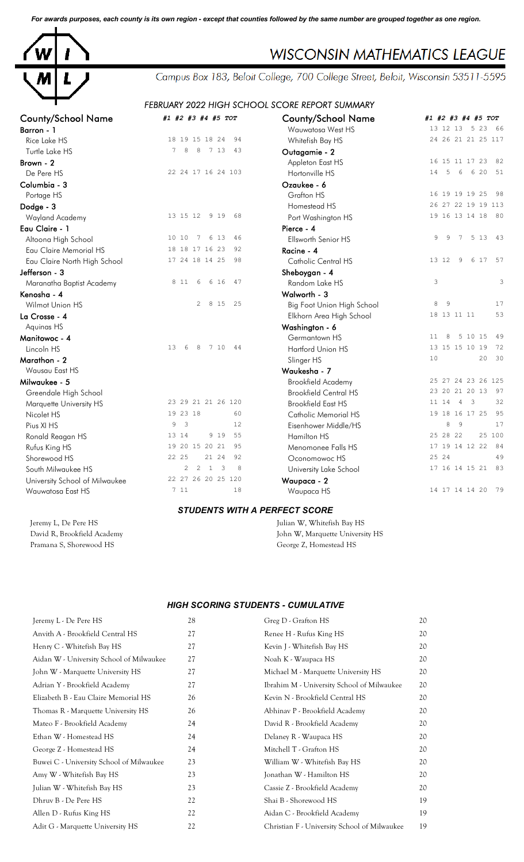*For awards purposes, each county is its own region - except that counties followed by the same number are grouped together as one region.*



## **WISCONSIN MATHEMATICS LEAGUE**

Campus Box 183, Beloit College, 700 College Street, Beloit, Wisconsin 53511-5595

## *FEBRUARY 2022 HIGH SCHOOL SCORE REPORT SUMMARY*

| <b>County/School Name</b>      | #1 #2 #3 #4 #5 TOT                               | <b>County/School Name</b>    | #1 #2 #3 #4 #5 TOT         |
|--------------------------------|--------------------------------------------------|------------------------------|----------------------------|
| Barron - 1                     |                                                  | Wauwatosa West HS            | 13 12 13 5 23 66           |
| Rice Lake HS                   | 18 19 15 18 24<br>94                             | Whitefish Bay HS             | 24 26 21 21 25 117         |
| Turtle Lake HS                 | 7 13<br>7<br>8<br>8<br>43                        | Outagamie - 2                |                            |
| Brown - 2                      |                                                  | Appleton East HS             | 16 15 11 17 23<br>82       |
| De Pere HS                     | 22 24 17 16 24 103                               | Hortonville HS               | 6 20<br>14<br>5<br>6<br>51 |
| Columbia - 3                   |                                                  | Ozaukee - 6                  |                            |
| Portage HS                     |                                                  | Grafton HS                   | 16 19 19 19 25<br>98       |
| Dodge - 3                      |                                                  | Homestead HS                 | 26 27 22 19 19 113         |
| Wayland Academy                | 13 15 12<br>9 1 9<br>68                          | Port Washington HS           | 19 16 13 14 18 80          |
| Eau Claire - 1                 |                                                  | Pierce - 4                   |                            |
| Altoona High School            | 10 10<br>7<br>6 13<br>46                         | Ellsworth Senior HS          | 5 1 3<br>43<br>9<br>9<br>7 |
| Eau Claire Memorial HS         | 18 18 17 16 23<br>92                             | Racine - 4                   |                            |
| Eau Claire North High School   | 17 24 18 14 25<br>98                             | Catholic Central HS          | 6 17<br>57<br>13 12<br>9   |
| Jefferson - 3                  |                                                  | Sheboygan - 4                |                            |
| Maranatha Baptist Academy      | 8 1 1<br>6<br>6 16<br>47                         | Random Lake HS               | 3<br>3                     |
| Kenosha - 4                    |                                                  | Walworth - 3                 |                            |
| Wilmot Union HS                | $\overline{2}$<br>8 15<br>25                     | Big Foot Union High School   | 8<br>$\overline{9}$<br>17  |
| La Crosse - 4                  |                                                  | Elkhorn Area High School     | 53<br>18 13 11 11          |
| Aquinas HS                     |                                                  | Washington - 6               |                            |
| Manitowoc - 4                  |                                                  | Germantown HS                | 5 10 15<br>49<br>8<br>11   |
| Lincoln HS                     | 13<br>8<br>7 10<br>44<br>6                       | Hartford Union HS            | 13 15 15 10 19<br>72       |
| Marathon - 2                   |                                                  | Slinger HS                   | 30<br>10<br>20             |
| Wausau East HS                 |                                                  | Waukesha - 7                 |                            |
| Milwaukee - 5                  |                                                  | Brookfield Academy           | 25 27 24 23 26 125         |
| Greendale High School          |                                                  | <b>Brookfield Central HS</b> | 23 20 21 20 13<br>97       |
| Marquette University HS        | 23 29 21 21 26 120                               | <b>Brookfield East HS</b>    | 32<br>11 14 4 3            |
| Nicolet HS                     | 19 23 18<br>60                                   | <b>Catholic Memorial HS</b>  | 19 18 16 17 25<br>95       |
| Pius XI HS                     | $\overline{3}$<br>9<br>12                        | Eisenhower Middle/HS         | 8<br>- 9<br>17             |
| Ronald Reagan HS               | 9 1 9<br>55<br>13 14                             | Hamilton HS                  | 25 100<br>25 28 22         |
| Rufus King HS                  | 19 20 15 20 21<br>95                             | Menomonee Falls HS           | 17 19 14 12 22<br>- 84     |
| Shorewood HS                   | 22 25<br>21 24<br>92                             | Oconomowoc HS                | 25 24<br>49                |
| South Milwaukee HS             | $2 \quad 1$<br>$\overline{\mathbf{3}}$<br>2<br>8 | University Lake School       | 17 16 14 15 21<br>83       |
| University School of Milwaukee | 22 27 26 20 25 120                               | Waupaca - 2                  |                            |
| Wauwatosa East HS              | 711<br>18                                        | Waupaca HS                   | 14 17 14 14 20<br>79       |
|                                | <b>STUDENTS WITH A PERFECT SCORE</b>             |                              |                            |

Pramana S, Shorewood HS George Z, Homestead HS

Jeremy L, De Pere HS Julian W, Whitefish Bay HS David R, Brookfield Academy John W, Marquette University HS

## *HIGH SCORING STUDENTS - CUMULATIVE*

| Jeremy L - De Pere HS                    | 28 | Greg D - Grafton HS                          | 20 |
|------------------------------------------|----|----------------------------------------------|----|
| Anvith A - Brookfield Central HS         | 27 | Renee H - Rufus King HS                      | 20 |
| Henry C - Whitefish Bay HS               | 27 | Kevin J - Whitefish Bay HS                   | 20 |
| Aidan W - University School of Milwaukee | 27 | Noah K - Waupaca HS                          | 20 |
| John W - Marquette University HS         | 27 | Michael M - Marquette University HS          | 20 |
| Adrian Y - Brookfield Academy            | 27 | Ibrahim M - University School of Milwaukee   | 20 |
| Elizabeth B - Eau Claire Memorial HS     | 26 | Kevin N - Brookfield Central HS              | 20 |
| Thomas R - Marquette University HS       | 26 | Abhinav P - Brookfield Academy               | 20 |
| Mateo F - Brookfield Academy             | 24 | David R - Brookfield Academy                 | 20 |
| Ethan W - Homestead HS                   | 24 | Delaney R - Waupaca HS                       | 20 |
| George Z - Homestead HS                  | 24 | Mitchell T - Grafton HS                      | 20 |
| Buwei C - University School of Milwaukee | 23 | William W - Whitefish Bay HS                 | 20 |
| Amy W - Whitefish Bay HS                 | 23 | Jonathan W - Hamilton HS                     | 20 |
| Julian W - Whitefish Bay HS              | 23 | Cassie Z - Brookfield Academy                | 20 |
| Dhruy B - De Pere HS                     | 22 | Shai B - Shorewood HS                        | 19 |
| Allen D - Rufus King HS                  | 22 | Aidan C - Brookfield Academy                 | 19 |
| Adit G - Marquette University HS         | 22 | Christian F - University School of Milwaukee | 19 |